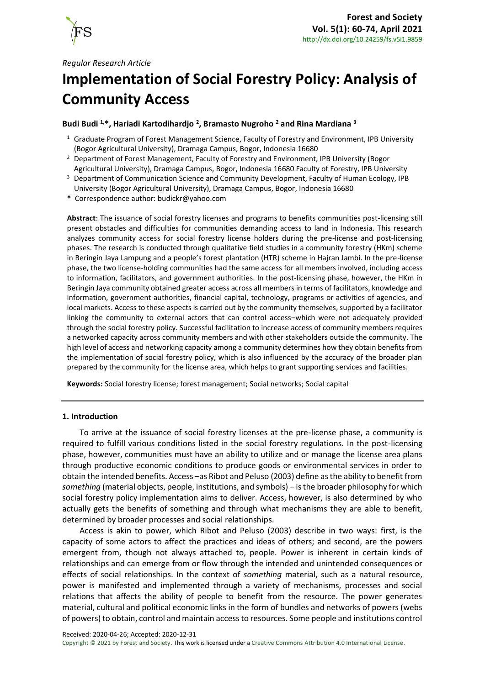

# **Implementation of Social Forestry Policy: Analysis of Community Access**

# **Budi Budi 1,\*, Hariadi Kartodihardjo <sup>2</sup> , Bramasto Nugroho <sup>2</sup> and Rina Mardiana <sup>3</sup>**

- <sup>1</sup> Graduate Program of Forest Management Science, Faculty of Forestry and Environment, IPB University (Bogor Agricultural University), Dramaga Campus, Bogor, Indonesia 16680
- <sup>2</sup> Department of Forest Management, Faculty of Forestry and Environment, IPB University (Bogor Agricultural University), Dramaga Campus, Bogor, Indonesia 16680 Faculty of Forestry, IPB University
- <sup>3</sup> Department of Communication Science and Community Development, Faculty of Human Ecology, IPB University (Bogor Agricultural University), Dramaga Campus, Bogor, Indonesia 16680
- **\*** Correspondence author[: budickr@yahoo.com](mailto:budickr@yahoo.com)

**Abstract**: The issuance of social forestry licenses and programs to benefits communities post-licensing still present obstacles and difficulties for communities demanding access to land in Indonesia. This research analyzes community access for social forestry license holders during the pre-license and post-licensing phases. The research is conducted through qualitative field studies in a community forestry (HKm) scheme in Beringin Jaya Lampung and a people's forest plantation (HTR) scheme in Hajran Jambi. In the pre-license phase, the two license-holding communities had the same access for all members involved, including access to information, facilitators, and government authorities. In the post-licensing phase, however, the HKm in Beringin Jaya community obtained greater access across all members in terms of facilitators, knowledge and information, government authorities, financial capital, technology, programs or activities of agencies, and local markets. Access to these aspects is carried out by the community themselves, supported by a facilitator linking the community to external actors that can control access–which were not adequately provided through the social forestry policy. Successful facilitation to increase access of community members requires a networked capacity across community members and with other stakeholders outside the community. The high level of access and networking capacity among a community determines how they obtain benefits from the implementation of social forestry policy, which is also influenced by the accuracy of the broader plan prepared by the community for the license area, which helps to grant supporting services and facilities.

**Keywords:** Social forestry license; forest management; Social networks; Social capital

## **1. Introduction**

To arrive at the issuance of social forestry licenses at the pre-license phase, a community is required to fulfill various conditions listed in the social forestry regulations. In the post-licensing phase, however, communities must have an ability to utilize and or manage the license area plans through productive economic conditions to produce goods or environmental services in order to obtain the intended benefits. Access –as Ribot and Peluso (2003) define as the ability to benefit from *something* (material objects, people, institutions, and symbols) – is the broader philosophy for which social forestry policy implementation aims to deliver. Access, however, is also determined by who actually gets the benefits of something and through what mechanisms they are able to benefit, determined by broader processes and social relationships.

Access is akin to power, which Ribot and Peluso (2003) describe in two ways: first, is the capacity of some actors to affect the practices and ideas of others; and second, are the powers emergent from, though not always attached to, people. Power is inherent in certain kinds of relationships and can emerge from or flow through the intended and unintended consequences or effects of social relationships. In the context of *something* material, such as a natural resource, power is manifested and implemented through a variety of mechanisms, processes and social relations that affects the ability of people to benefit from the resource. The power generates material, cultural and political economic links in the form of bundles and networks of powers (webs of powers) to obtain, control and maintain access to resources. Some people and institutions control

Received: 2020-04-26; Accepted: 2020-12-31

Copyright © 2021 by Forest and Society. This work is licensed under a [Creative Commons Attribution 4.0 International License.](https://creativecommons.org/licenses/by/4.0/)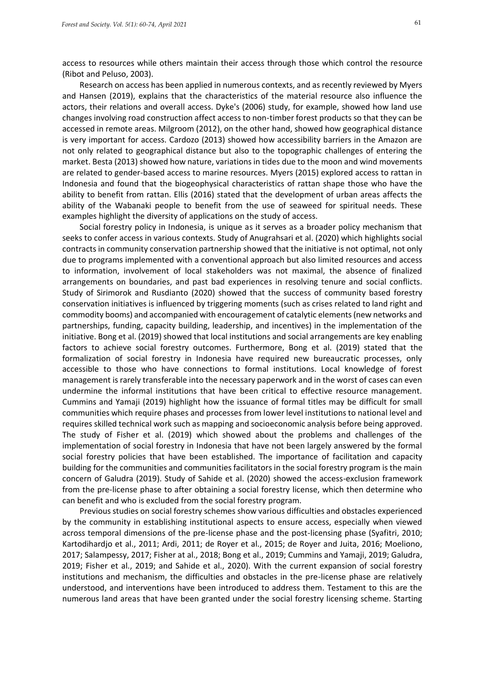access to resources while others maintain their access through those which control the resource (Ribot and Peluso, 2003).

Research on access has been applied in numerous contexts, and as recently reviewed by Myers and Hansen (2019), explains that the characteristics of the material resource also influence the actors, their relations and overall access. Dyke's (2006) study, for example, showed how land use changes involving road construction affect access to non-timber forest products so that they can be accessed in remote areas. Milgroom (2012), on the other hand, showed how geographical distance is very important for access. Cardozo (2013) showed how accessibility barriers in the Amazon are not only related to geographical distance but also to the topographic challenges of entering the market. Besta (2013) showed how nature, variations in tides due to the moon and wind movements are related to gender-based access to marine resources. Myers (2015) explored access to rattan in Indonesia and found that the biogeophysical characteristics of rattan shape those who have the ability to benefit from rattan. Ellis (2016) stated that the development of urban areas affects the ability of the Wabanaki people to benefit from the use of seaweed for spiritual needs. These examples highlight the diversity of applications on the study of access.

Social forestry policy in Indonesia, is unique as it serves as a broader policy mechanism that seeks to confer access in various contexts. Study of Anugrahsari et al. (2020) which highlights social contracts in community conservation partnership showed that the initiative is not optimal, not only due to programs implemented with a conventional approach but also limited resources and access to information, involvement of local stakeholders was not maximal, the absence of finalized arrangements on boundaries, and past bad experiences in resolving tenure and social conflicts. Study of Sirimorok and Rusdianto (2020) showed that the success of community based forestry conservation initiatives is influenced by triggering moments (such as crises related to land right and commodity booms) and accompanied with encouragement of catalytic elements (new networks and partnerships, funding, capacity building, leadership, and incentives) in the implementation of the initiative. Bong et al. (2019) showed that local institutions and social arrangements are key enabling factors to achieve social forestry outcomes. Furthermore, Bong et al. (2019) stated that the formalization of social forestry in Indonesia have required new bureaucratic processes, only accessible to those who have connections to formal institutions. Local knowledge of forest management is rarely transferable into the necessary paperwork and in the worst of cases can even undermine the informal institutions that have been critical to effective resource management. Cummins and Yamaji (2019) highlight how the issuance of formal titles may be difficult for small communities which require phases and processes from lower level institutions to national level and requires skilled technical work such as mapping and socioeconomic analysis before being approved. The study of Fisher et al. (2019) which showed about the problems and challenges of the implementation of social forestry in Indonesia that have not been largely answered by the formal social forestry policies that have been established. The importance of facilitation and capacity building for the communities and communities facilitators in the social forestry program is the main concern of Galudra (2019). Study of Sahide et al. (2020) showed the access-exclusion framework from the pre-license phase to after obtaining a social forestry license, which then determine who can benefit and who is excluded from the social forestry program.

Previous studies on social forestry schemes show various difficulties and obstacles experienced by the community in establishing institutional aspects to ensure access, especially when viewed across temporal dimensions of the pre-license phase and the post-licensing phase (Syafitri, 2010; Kartodihardjo et al., 2011; Ardi, 2011; de Royer et al., 2015; de Royer and Juita, 2016; Moeliono, 2017; Salampessy, 2017; Fisher at al., 2018; Bong et al., 2019; Cummins and Yamaji, 2019; Galudra, 2019; Fisher et al., 2019; and Sahide et al., 2020). With the current expansion of social forestry institutions and mechanism, the difficulties and obstacles in the pre-license phase are relatively understood, and interventions have been introduced to address them. Testament to this are the numerous land areas that have been granted under the social forestry licensing scheme. Starting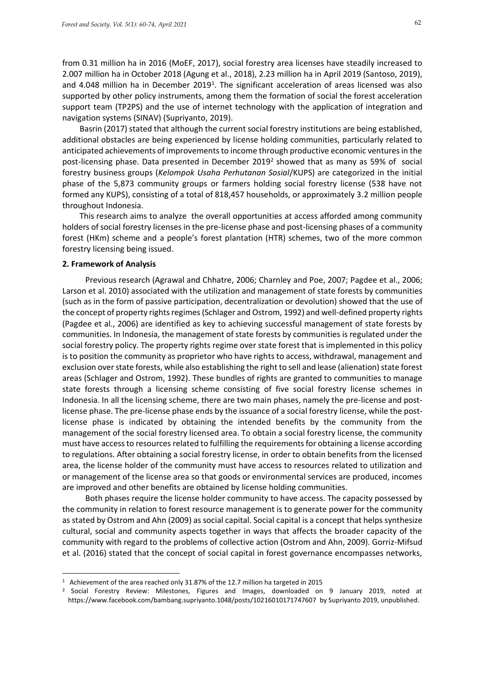from 0.31 million ha in 2016 (MoEF, 2017), social forestry area licenses have steadily increased to 2.007 million ha in October 2018 (Agung et al., 2018), 2.23 million ha in April 2019 (Santoso, 2019), and 4.048 million ha in December 2019<sup>1</sup>. The significant acceleration of areas licensed was also supported by other policy instruments, among them the formation of social the forest acceleration support team (TP2PS) and the use of internet technology with the application of integration and navigation systems (SINAV) (Supriyanto, 2019).

Basrin (2017) stated that although the current social forestry institutions are being established, additional obstacles are being experienced by license holding communities, particularly related to anticipated achievements of improvements to income through productive economic ventures in the post-licensing phase. Data presented in December 2019<sup>2</sup> showed that as many as 59% of social forestry business groups (*Kelompok Usaha Perhutanan Sosial*/KUPS) are categorized in the initial phase of the 5,873 community groups or farmers holding social forestry license (538 have not formed any KUPS), consisting of a total of 818,457 households, or approximately 3.2 million people throughout Indonesia.

This research aims to analyze the overall opportunities at access afforded among community holders of social forestry licenses in the pre-license phase and post-licensing phases of a community forest (HKm) scheme and a people's forest plantation (HTR) schemes, two of the more common forestry licensing being issued.

#### **2. Framework of Analysis**

Previous research (Agrawal and Chhatre, 2006; Charnley and Poe, 2007; Pagdee et al., 2006; Larson et al. 2010) associated with the utilization and management of state forests by communities (such as in the form of passive participation, decentralization or devolution) showed that the use of the concept of property rights regimes (Schlager and Ostrom, 1992) and well-defined property rights (Pagdee et al., 2006) are identified as key to achieving successful management of state forests by communities. In Indonesia, the management of state forests by communities is regulated under the social forestry policy. The property rights regime over state forest that is implemented in this policy is to position the community as proprietor who have rights to access, withdrawal, management and exclusion over state forests, while also establishing the right to sell and lease (alienation) state forest areas (Schlager and Ostrom, 1992). These bundles of rights are granted to communities to manage state forests through a licensing scheme consisting of five social forestry license schemes in Indonesia. In all the licensing scheme, there are two main phases, namely the pre-license and postlicense phase. The pre-license phase ends by the issuance of a social forestry license, while the postlicense phase is indicated by obtaining the intended benefits by the community from the management of the social forestry licensed area. To obtain a social forestry license, the community must have access to resources related to fulfilling the requirements for obtaining a license according to regulations. After obtaining a social forestry license, in order to obtain benefits from the licensed area, the license holder of the community must have access to resources related to utilization and or management of the license area so that goods or environmental services are produced, incomes are improved and other benefits are obtained by license holding communities.

Both phases require the license holder community to have access. The capacity possessed by the community in relation to forest resource management is to generate power for the community as stated by Ostrom and Ahn (2009) as social capital. Social capital is a concept that helps synthesize cultural, social and community aspects together in ways that affects the broader capacity of the community with regard to the problems of collective action (Ostrom and Ahn, 2009). Gorriz-Mifsud et al. (2016) stated that the concept of social capital in forest governance encompasses networks,

<sup>&</sup>lt;sup>1</sup> Achievement of the area reached only 31.87% of the 12.7 million ha targeted in 2015

<sup>2</sup> Social Forestry Review: Milestones, Figures and Images, downloaded on 9 January 2019, noted at <https://www.facebook.com/bambang.supriyanto.1048/posts/10216010171747607>by Supriyanto 2019, unpublished.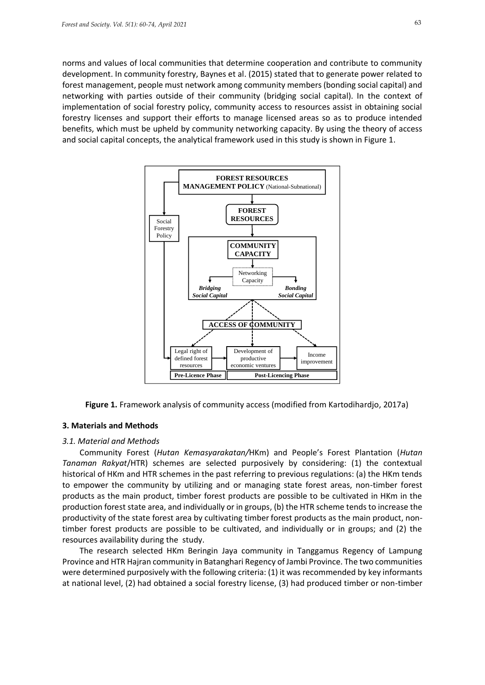norms and values of local communities that determine cooperation and contribute to community development. In community forestry, Baynes et al. (2015) stated that to generate power related to forest management, people must network among community members (bonding social capital) and networking with parties outside of their community (bridging social capital). In the context of implementation of social forestry policy, community access to resources assist in obtaining social forestry licenses and support their efforts to manage licensed areas so as to produce intended benefits, which must be upheld by community networking capacity. By using the theory of access and social capital concepts, the analytical framework used in this study is shown in Figure 1.



**Figure 1.** Framework analysis of community access (modified from Kartodihardjo, 2017a)

#### **3. Materials and Methods**

## *3.1. Material and Methods*

Community Forest (*Hutan Kemasyarakatan/*HKm) and People's Forest Plantation (*Hutan Tanaman Rakyat*/HTR) schemes are selected purposively by considering: (1) the contextual historical of HKm and HTR schemes in the past referring to previous regulations: (a) the HKm tends to empower the community by utilizing and or managing state forest areas, non-timber forest products as the main product, timber forest products are possible to be cultivated in HKm in the production forest state area, and individually or in groups, (b) the HTR scheme tends to increase the productivity of the state forest area by cultivating timber forest products as the main product, nontimber forest products are possible to be cultivated, and individually or in groups; and (2) the resources availability during the study.

The research selected HKm Beringin Jaya community in Tanggamus Regency of Lampung Province and HTR Hajran community in Batanghari Regency of Jambi Province. The two communities were determined purposively with the following criteria: (1) it was recommended by key informants at national level, (2) had obtained a social forestry license, (3) had produced timber or non-timber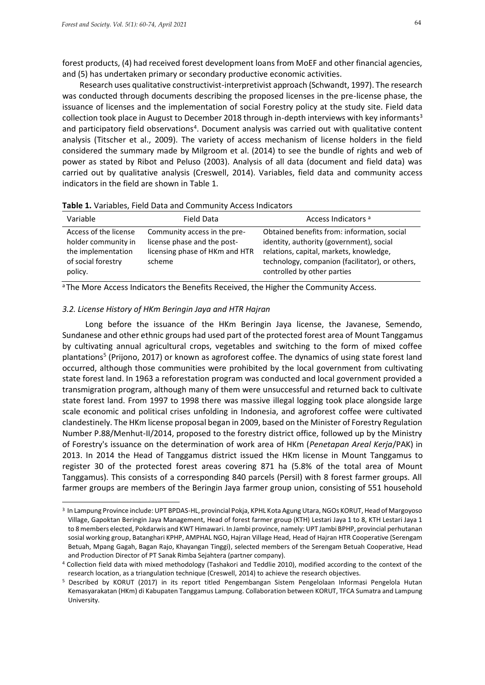forest products, (4) had received forest development loans from MoEF and other financial agencies, and (5) has undertaken primary or secondary productive economic activities.

Research uses qualitative constructivist-interpretivist approach (Schwandt, 1997). The research was conducted through documents describing the proposed licenses in the pre-license phase, the issuance of licenses and the implementation of social Forestry policy at the study site. Field data collection took place in August to December 2018 through in-depth interviews with key informants<sup>3</sup> and participatory field observations<sup>4</sup>. Document analysis was carried out with qualitative content analysis (Titscher et al., 2009). The variety of access mechanism of license holders in the field considered the summary made by Milgroom et al. (2014) to see the bundle of rights and web of power as stated by Ribot and Peluso (2003). Analysis of all data (document and field data) was carried out by qualitative analysis (Creswell, 2014). Variables, field data and community access indicators in the field are shown in Table 1.

| Variable                                                                                            | Field Data                                                                                              | Access Indicators <sup>a</sup>                                                                                                                                                                                       |
|-----------------------------------------------------------------------------------------------------|---------------------------------------------------------------------------------------------------------|----------------------------------------------------------------------------------------------------------------------------------------------------------------------------------------------------------------------|
| Access of the license<br>holder community in<br>the implementation<br>of social forestry<br>policy. | Community access in the pre-<br>license phase and the post-<br>licensing phase of HKm and HTR<br>scheme | Obtained benefits from: information, social<br>identity, authority (government), social<br>relations, capital, markets, knowledge,<br>technology, companion (facilitator), or others,<br>controlled by other parties |

<sup>a</sup> The More Access Indicators the Benefits Received, the Higher the Community Access.

# *3.2. License History of HKm Beringin Jaya and HTR Hajran*

Long before the issuance of the HKm Beringin Jaya license, the Javanese, Semendo, Sundanese and other ethnic groups had used part of the protected forest area of Mount Tanggamus by cultivating annual agricultural crops, vegetables and switching to the form of mixed coffee plantations<sup>5</sup> (Prijono, 2017) or known as agroforest coffee. The dynamics of using state forest land occurred, although those communities were prohibited by the local government from cultivating state forest land. In 1963 a reforestation program was conducted and local government provided a transmigration program, although many of them were unsuccessful and returned back to cultivate state forest land. From 1997 to 1998 there was massive illegal logging took place alongside large scale economic and political crises unfolding in Indonesia, and agroforest coffee were cultivated clandestinely. The HKm license proposal began in 2009, based on the Minister of Forestry Regulation Number P.88/Menhut-II/2014, proposed to the forestry district office, followed up by the Ministry of Forestry's issuance on the determination of work area of HKm (*Penetapan Areal Kerja*/PAK) in 2013. In 2014 the Head of Tanggamus district issued the HKm license in Mount Tanggamus to register 30 of the protected forest areas covering 871 ha (5.8% of the total area of Mount Tanggamus). This consists of a corresponding 840 parcels (Persil) with 8 forest farmer groups. All farmer groups are members of the Beringin Jaya farmer group union, consisting of 551 household

<sup>3</sup> In Lampung Province include: UPT BPDAS-HL, provincial Pokja, KPHL Kota Agung Utara, NGOs KORUT, Head of Margoyoso Village, Gapoktan Beringin Jaya Management, Head of forest farmer group (KTH) Lestari Jaya 1 to 8, KTH Lestari Jaya 1 to 8 members elected, Pokdarwis and KWT Himawari. In Jambi province, namely: UPT Jambi BPHP, provincial perhutanan sosial working group, Batanghari KPHP, AMPHAL NGO, Hajran Village Head, Head of Hajran HTR Cooperative (Serengam Betuah, Mpang Gagah, Bagan Rajo, Khayangan Tinggi), selected members of the Serengam Betuah Cooperative, Head and Production Director of PT Sanak Rimba Sejahtera (partner company).

<sup>4</sup> Collection field data with mixed methodology (Tashakori and Teddlie 2010), modified according to the context of the research location, as a triangulation technique (Creswell, 2014) to achieve the research objectives.

<sup>5</sup> Described by KORUT (2017) in its report titled Pengembangan Sistem Pengelolaan Informasi Pengelola Hutan Kemasyarakatan (HKm) di Kabupaten Tanggamus Lampung. Collaboration between KORUT, TFCA Sumatra and Lampung University.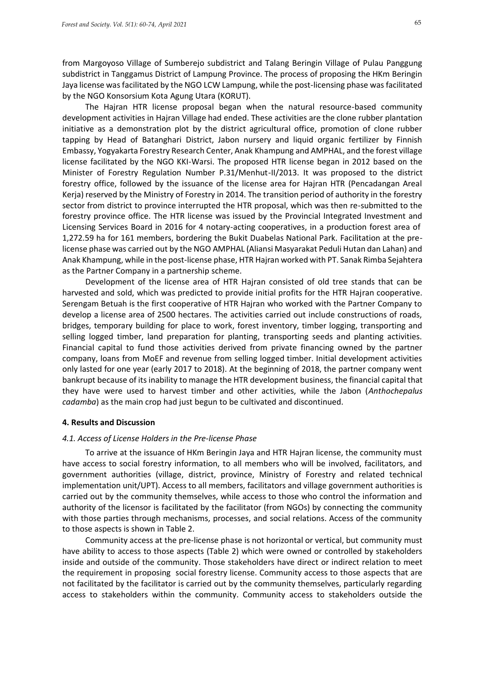from Margoyoso Village of Sumberejo subdistrict and Talang Beringin Village of Pulau Panggung subdistrict in Tanggamus District of Lampung Province. The process of proposing the HKm Beringin Jaya license wasfacilitated by the NGO LCW Lampung, while the post-licensing phase was facilitated by the NGO Konsorsium Kota Agung Utara (KORUT).

The Hajran HTR license proposal began when the natural resource-based community development activities in Hajran Village had ended. These activities are the clone rubber plantation initiative as a demonstration plot by the district agricultural office, promotion of clone rubber tapping by Head of Batanghari District, Jabon nursery and liquid organic fertilizer by Finnish Embassy, Yogyakarta Forestry Research Center, Anak Khampung and AMPHAL, and the forest village license facilitated by the NGO KKI-Warsi. The proposed HTR license began in 2012 based on the Minister of Forestry Regulation Number P.31/Menhut-II/2013. It was proposed to the district forestry office, followed by the issuance of the license area for Hajran HTR (Pencadangan Areal Kerja) reserved by the Ministry of Forestry in 2014. The transition period of authority in the forestry sector from district to province interrupted the HTR proposal, which was then re-submitted to the forestry province office. The HTR license was issued by the Provincial Integrated Investment and Licensing Services Board in 2016 for 4 notary-acting cooperatives, in a production forest area of 1,272.59 ha for 161 members, bordering the Bukit Duabelas National Park. Facilitation at the prelicense phase was carried out by the NGO AMPHAL (Aliansi Masyarakat Peduli Hutan dan Lahan) and Anak Khampung, while in the post-license phase, HTR Hajran worked with PT. Sanak Rimba Sejahtera as the Partner Company in a partnership scheme.

Development of the license area of HTR Hajran consisted of old tree stands that can be harvested and sold, which was predicted to provide initial profits for the HTR Hajran cooperative. Serengam Betuah is the first cooperative of HTR Hajran who worked with the Partner Company to develop a license area of 2500 hectares. The activities carried out include constructions of roads, bridges, temporary building for place to work, forest inventory, timber logging, transporting and selling logged timber, land preparation for planting, transporting seeds and planting activities. Financial capital to fund those activities derived from private financing owned by the partner company, loans from MoEF and revenue from selling logged timber. Initial development activities only lasted for one year (early 2017 to 2018). At the beginning of 2018, the partner company went bankrupt because of its inability to manage the HTR development business, the financial capital that they have were used to harvest timber and other activities, while the Jabon (*Anthochepalus cadamba*) as the main crop had just begun to be cultivated and discontinued.

#### **4. Results and Discussion**

#### *4.1. Access of License Holders in the Pre-license Phase*

To arrive at the issuance of HKm Beringin Jaya and HTR Hajran license, the community must have access to social forestry information, to all members who will be involved, facilitators, and government authorities (village, district, province, Ministry of Forestry and related technical implementation unit/UPT). Access to all members, facilitators and village government authorities is carried out by the community themselves, while access to those who control the information and authority of the licensor is facilitated by the facilitator (from NGOs) by connecting the community with those parties through mechanisms, processes, and social relations. Access of the community to those aspects is shown in Table 2.

Community access at the pre-license phase is not horizontal or vertical, but community must have ability to access to those aspects (Table 2) which were owned or controlled by stakeholders inside and outside of the community. Those stakeholders have direct or indirect relation to meet the requirement in proposing social forestry license. Community access to those aspects that are not facilitated by the facilitator is carried out by the community themselves, particularly regarding access to stakeholders within the community. Community access to stakeholders outside the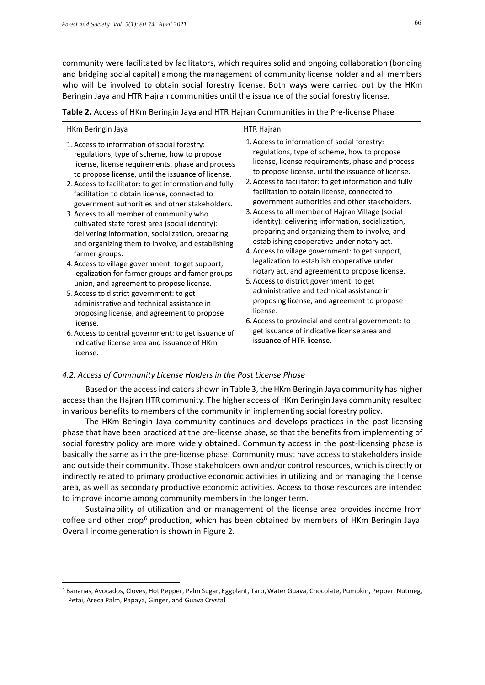community were facilitated by facilitators, which requires solid and ongoing collaboration (bonding and bridging social capital) among the management of community license holder and all members who will be involved to obtain social forestry license. Both ways were carried out by the HKm Beringin Jaya and HTR Hajran communities until the issuance of the social forestry license.

**Table 2.** Access of HKm Beringin Jaya and HTR Hajran Communities in the Pre-license Phase

| HKm Beringin Jaya                                                                                                                                                                                                                                                                                                                                                                                                                                                                                                                                                                                                                                                                                                                                                                                                                                                                                                                                                                                                    | HTR Hajran                                                                                                                                                                                                                                                                                                                                                                                                                                                                                                                                                                                                                                                                                                                                                                                                                                                                                                                                                                                                           |
|----------------------------------------------------------------------------------------------------------------------------------------------------------------------------------------------------------------------------------------------------------------------------------------------------------------------------------------------------------------------------------------------------------------------------------------------------------------------------------------------------------------------------------------------------------------------------------------------------------------------------------------------------------------------------------------------------------------------------------------------------------------------------------------------------------------------------------------------------------------------------------------------------------------------------------------------------------------------------------------------------------------------|----------------------------------------------------------------------------------------------------------------------------------------------------------------------------------------------------------------------------------------------------------------------------------------------------------------------------------------------------------------------------------------------------------------------------------------------------------------------------------------------------------------------------------------------------------------------------------------------------------------------------------------------------------------------------------------------------------------------------------------------------------------------------------------------------------------------------------------------------------------------------------------------------------------------------------------------------------------------------------------------------------------------|
| 1. Access to information of social forestry:<br>regulations, type of scheme, how to propose<br>license, license requirements, phase and process<br>to propose license, until the issuance of license.<br>2. Access to facilitator: to get information and fully<br>facilitation to obtain license, connected to<br>government authorities and other stakeholders.<br>3. Access to all member of community who<br>cultivated state forest area (social identity):<br>delivering information, socialization, preparing<br>and organizing them to involve, and establishing<br>farmer groups.<br>4. Access to village government: to get support,<br>legalization for farmer groups and famer groups<br>union, and agreement to propose license.<br>5. Access to district government: to get<br>administrative and technical assistance in<br>proposing license, and agreement to propose<br>license.<br>6. Access to central government: to get issuance of<br>indicative license area and issuance of HKm<br>license. | 1. Access to information of social forestry:<br>regulations, type of scheme, how to propose<br>license, license requirements, phase and process<br>to propose license, until the issuance of license.<br>2. Access to facilitator: to get information and fully<br>facilitation to obtain license, connected to<br>government authorities and other stakeholders.<br>3. Access to all member of Hajran Village (social<br>identity): delivering information, socialization,<br>preparing and organizing them to involve, and<br>establishing cooperative under notary act.<br>4. Access to village government: to get support,<br>legalization to establish cooperative under<br>notary act, and agreement to propose license.<br>5. Access to district government: to get<br>administrative and technical assistance in<br>proposing license, and agreement to propose<br>license.<br>6. Access to provincial and central government: to<br>get issuance of indicative license area and<br>issuance of HTR license. |

## *4.2. Access of Community License Holders in the Post License Phase*

Based on the access indicators shown in Table 3, the HKm Beringin Jaya community has higher access than the Hajran HTR community. The higher access of HKm Beringin Jaya community resulted in various benefits to members of the community in implementing social forestry policy.

The HKm Beringin Jaya community continues and develops practices in the post-licensing phase that have been practiced at the pre-license phase, so that the benefits from implementing of social forestry policy are more widely obtained. Community access in the post-licensing phase is basically the same as in the pre-license phase. Community must have access to stakeholders inside and outside their community. Those stakeholders own and/or control resources, which is directly or indirectly related to primary productive economic activities in utilizing and or managing the license area, as well as secondary productive economic activities. Access to those resources are intended to improve income among community members in the longer term.

Sustainability of utilization and or management of the license area provides income from coffee and other crop<sup>6</sup> production, which has been obtained by members of HKm Beringin Jaya. Overall income generation is shown in Figure 2.

<sup>6</sup> Bananas, Avocados, Cloves, Hot Pepper, Palm Sugar, Eggplant, Taro, Water Guava, Chocolate, Pumpkin, Pepper, Nutmeg, Petai, Areca Palm, Papaya, Ginger, and Guava Crystal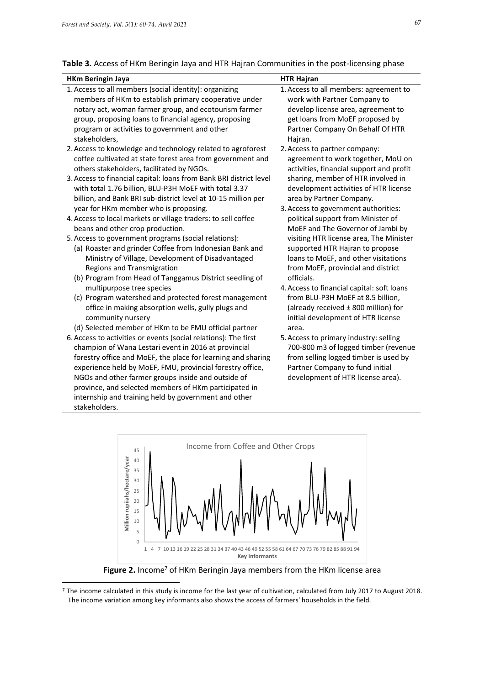# **Table 3.** Access of HKm Beringin Jaya and HTR Hajran Communities in the post-licensing phase

| <b>HKm Beringin Jaya</b>                                           | <b>HTR Hajran</b>                          |
|--------------------------------------------------------------------|--------------------------------------------|
| 1. Access to all members (social identity): organizing             | 1. Access to all members: agreement to     |
| members of HKm to establish primary cooperative under              | work with Partner Company to               |
| notary act, woman farmer group, and ecotourism farmer              | develop license area, agreement to         |
| group, proposing loans to financial agency, proposing              | get loans from MoEF proposed by            |
| program or activities to government and other                      | Partner Company On Behalf Of HTR           |
| stakeholders,                                                      | Hajran.                                    |
| 2. Access to knowledge and technology related to agroforest        | 2. Access to partner company:              |
| coffee cultivated at state forest area from government and         | agreement to work together, MoU on         |
| others stakeholders, facilitated by NGOs.                          | activities, financial support and profit   |
| 3. Access to financial capital: loans from Bank BRI district level | sharing, member of HTR involved in         |
| with total 1.76 billion, BLU-P3H MoEF with total 3.37              | development activities of HTR license      |
| billion, and Bank BRI sub-district level at 10-15 million per      | area by Partner Company.                   |
| year for HKm member who is proposing.                              | 3. Access to government authorities:       |
| 4. Access to local markets or village traders: to sell coffee      | political support from Minister of         |
| beans and other crop production.                                   | MoEF and The Governor of Jambi by          |
| 5. Access to government programs (social relations):               | visiting HTR license area, The Minister    |
| (a) Roaster and grinder Coffee from Indonesian Bank and            | supported HTR Hajran to propose            |
| Ministry of Village, Development of Disadvantaged                  | loans to MoEF, and other visitations       |
| Regions and Transmigration                                         | from MoEF, provincial and district         |
| (b) Program from Head of Tanggamus District seedling of            | officials.                                 |
| multipurpose tree species                                          | 4. Access to financial capital: soft loans |
| (c) Program watershed and protected forest management              | from BLU-P3H MoEF at 8.5 billion,          |
| office in making absorption wells, gully plugs and                 | (already received ± 800 million) for       |
| community nursery                                                  | initial development of HTR license         |
| (d) Selected member of HKm to be FMU official partner              | area.                                      |
| 6. Access to activities or events (social relations): The first    | 5. Access to primary industry: selling     |
| champion of Wana Lestari event in 2016 at provincial               | 700-800 m3 of logged timber (revenue       |
| forestry office and MoEF, the place for learning and sharing       | from selling logged timber is used by      |
| experience held by MoEF, FMU, provincial forestry office,          | Partner Company to fund initial            |
| NGOs and other farmer groups inside and outside of                 | development of HTR license area).          |
| province, and selected members of HKm participated in              |                                            |
| internship and training held by government and other               |                                            |
| stakeholders.                                                      |                                            |



Figure 2. Income<sup>7</sup> of HKm Beringin Jaya members from the HKm license area

<sup>&</sup>lt;sup>7</sup> The income calculated in this study is income for the last year of cultivation, calculated from July 2017 to August 2018. The income variation among key informants also shows the access of farmers' households in the field.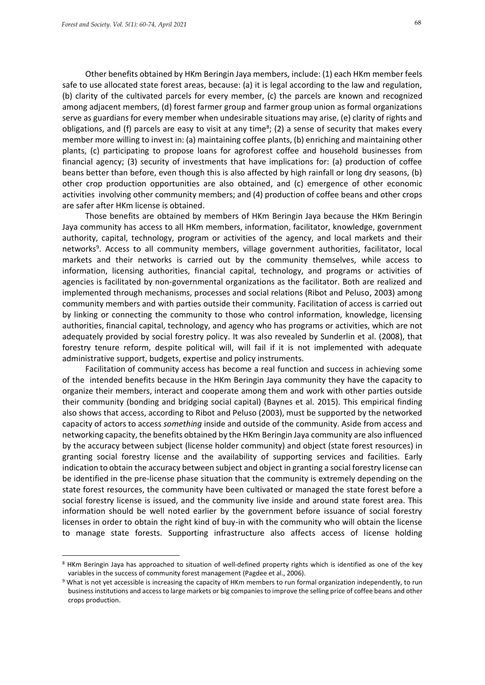Other benefits obtained by HKm Beringin Jaya members, include: (1) each HKm member feels safe to use allocated state forest areas, because: (a) it is legal according to the law and regulation, (b) clarity of the cultivated parcels for every member, (c) the parcels are known and recognized among adjacent members, (d) forest farmer group and farmer group union as formal organizations serve as guardians for every member when undesirable situations may arise, (e) clarity of rights and obligations, and (f) parcels are easy to visit at any time<sup>8</sup>; (2) a sense of security that makes every member more willing to invest in: (a) maintaining coffee plants, (b) enriching and maintaining other plants, (c) participating to propose loans for agroforest coffee and household businesses from financial agency; (3) security of investments that have implications for: (a) production of coffee beans better than before, even though this is also affected by high rainfall or long dry seasons, (b) other crop production opportunities are also obtained, and (c) emergence of other economic activities involving other community members; and (4) production of coffee beans and other crops are safer after HKm license is obtained.

Those benefits are obtained by members of HKm Beringin Jaya because the HKm Beringin Jaya community has access to all HKm members, information, facilitator, knowledge, government authority, capital, technology, program or activities of the agency, and local markets and their networks<sup>9</sup>. Access to all community members, village government authorities, facilitator, local markets and their networks is carried out by the community themselves, while access to information, licensing authorities, financial capital, technology, and programs or activities of agencies is facilitated by non-governmental organizations as the facilitator. Both are realized and implemented through mechanisms, processes and social relations (Ribot and Peluso, 2003) among community members and with parties outside their community. Facilitation of access is carried out by linking or connecting the community to those who control information, knowledge, licensing authorities, financial capital, technology, and agency who has programs or activities, which are not adequately provided by social forestry policy. It was also revealed by Sunderlin et al. (2008), that forestry tenure reform, despite political will, will fail if it is not implemented with adequate administrative support, budgets, expertise and policy instruments.

Facilitation of community access has become a real function and success in achieving some of the intended benefits because in the HKm Beringin Jaya community they have the capacity to organize their members, interact and cooperate among them and work with other parties outside their community (bonding and bridging social capital) (Baynes et al*.* 2015). This empirical finding also shows that access, according to Ribot and Peluso (2003), must be supported by the networked capacity of actors to access *something* inside and outside of the community. Aside from access and networking capacity, the benefits obtained by the HKm Beringin Jaya community are also influenced by the accuracy between subject (license holder community) and object (state forest resources) in granting social forestry license and the availability of supporting services and facilities. Early indication to obtain the accuracy between subject and object in granting a social forestry license can be identified in the pre-license phase situation that the community is extremely depending on the state forest resources, the community have been cultivated or managed the state forest before a social forestry license is issued, and the community live inside and around state forest area. This information should be well noted earlier by the government before issuance of social forestry licenses in order to obtain the right kind of buy-in with the community who will obtain the license to manage state forests. Supporting infrastructure also affects access of license holding

<sup>8</sup> HKm Beringin Jaya has approached to situation of well-defined property rights which is identified as one of the key variables in the success of community forest management (Pagdee et al., 2006).

<sup>9</sup> What is not yet accessible is increasing the capacity of HKm members to run formal organization independently, to run business institutions and access to large markets or big companies to improve the selling price of coffee beans and other crops production.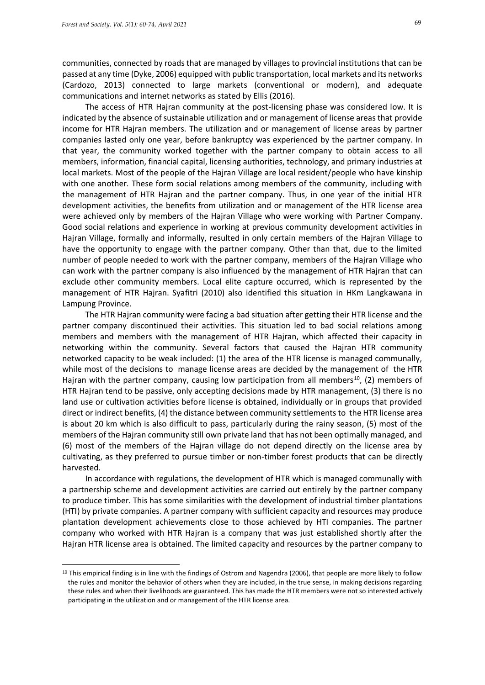communities, connected by roads that are managed by villages to provincial institutions that can be passed at any time (Dyke, 2006) equipped with public transportation, local markets and its networks (Cardozo, 2013) connected to large markets (conventional or modern), and adequate communications and internet networks as stated by Ellis (2016).

The access of HTR Hajran community at the post-licensing phase was considered low. It is indicated by the absence of sustainable utilization and or management of license areas that provide income for HTR Hajran members. The utilization and or management of license areas by partner companies lasted only one year, before bankruptcy was experienced by the partner company. In that year, the community worked together with the partner company to obtain access to all members, information, financial capital, licensing authorities, technology, and primary industries at local markets. Most of the people of the Hajran Village are local resident/people who have kinship with one another. These form social relations among members of the community, including with the management of HTR Hajran and the partner company. Thus, in one year of the initial HTR development activities, the benefits from utilization and or management of the HTR license area were achieved only by members of the Hajran Village who were working with Partner Company. Good social relations and experience in working at previous community development activities in Hajran Village, formally and informally, resulted in only certain members of the Hajran Village to have the opportunity to engage with the partner company. Other than that, due to the limited number of people needed to work with the partner company, members of the Hajran Village who can work with the partner company is also influenced by the management of HTR Hajran that can exclude other community members. Local elite capture occurred, which is represented by the management of HTR Hajran. Syafitri (2010) also identified this situation in HKm Langkawana in Lampung Province.

The HTR Hajran community were facing a bad situation after getting their HTR license and the partner company discontinued their activities. This situation led to bad social relations among members and members with the management of HTR Hajran, which affected their capacity in networking within the community. Several factors that caused the Hajran HTR community networked capacity to be weak included: (1) the area of the HTR license is managed communally, while most of the decisions to manage license areas are decided by the management of the HTR Hajran with the partner company, causing low participation from all members<sup>10</sup>, (2) members of HTR Hajran tend to be passive, only accepting decisions made by HTR management, (3) there is no land use or cultivation activities before license is obtained, individually or in groups that provided direct or indirect benefits, (4) the distance between community settlements to the HTR license area is about 20 km which is also difficult to pass, particularly during the rainy season, (5) most of the members of the Hajran community still own private land that has not been optimally managed, and (6) most of the members of the Hajran village do not depend directly on the license area by cultivating, as they preferred to pursue timber or non-timber forest products that can be directly harvested.

In accordance with regulations, the development of HTR which is managed communally with a partnership scheme and development activities are carried out entirely by the partner company to produce timber. This has some similarities with the development of industrial timber plantations (HTI) by private companies. A partner company with sufficient capacity and resources may produce plantation development achievements close to those achieved by HTI companies. The partner company who worked with HTR Hajran is a company that was just established shortly after the Hajran HTR license area is obtained. The limited capacity and resources by the partner company to

 $10$  This empirical finding is in line with the findings of Ostrom and Nagendra (2006), that people are more likely to follow the rules and monitor the behavior of others when they are included, in the true sense, in making decisions regarding these rules and when their livelihoods are guaranteed. This has made the HTR members were not so interested actively participating in the utilization and or management of the HTR license area.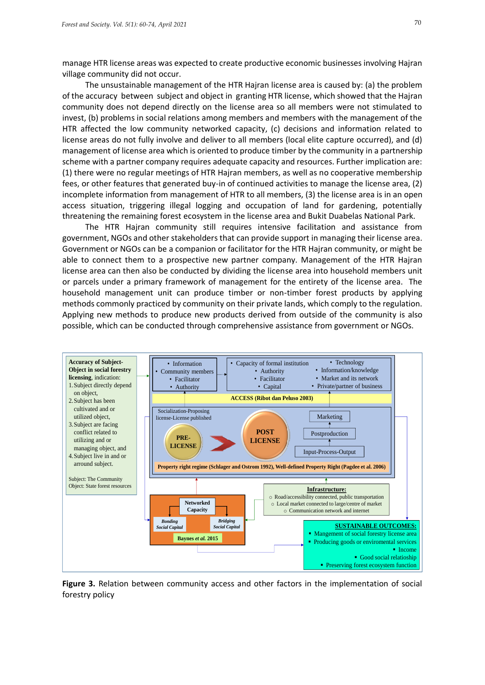manage HTR license areas was expected to create productive economic businesses involving Hajran village community did not occur.

The unsustainable management of the HTR Hajran license area is caused by: (a) the problem of the accuracy between subject and object in granting HTR license, which showed that the Hajran community does not depend directly on the license area so all members were not stimulated to invest, (b) problems in social relations among members and members with the management of the HTR affected the low community networked capacity, (c) decisions and information related to license areas do not fully involve and deliver to all members (local elite capture occurred), and (d) management of license area which is oriented to produce timber by the community in a partnership scheme with a partner company requires adequate capacity and resources. Further implication are: (1) there were no regular meetings of HTR Hajran members, as well as no cooperative membership fees, or other features that generated buy-in of continued activities to manage the license area, (2) incomplete information from management of HTR to all members, (3) the license area is in an open access situation, triggering illegal logging and occupation of land for gardening, potentially threatening the remaining forest ecosystem in the license area and Bukit Duabelas National Park.

The HTR Hajran community still requires intensive facilitation and assistance from government, NGOs and other stakeholders that can provide support in managing their license area. Government or NGOs can be a companion or facilitator for the HTR Hajran community, or might be able to connect them to a prospective new partner company. Management of the HTR Hajran license area can then also be conducted by dividing the license area into household members unit or parcels under a primary framework of management for the entirety of the license area. The household management unit can produce timber or non-timber forest products by applying methods commonly practiced by community on their private lands, which comply to the regulation. Applying new methods to produce new products derived from outside of the community is also possible, which can be conducted through comprehensive assistance from government or NGOs.



**Figure 3.** Relation between community access and other factors in the implementation of social forestry policy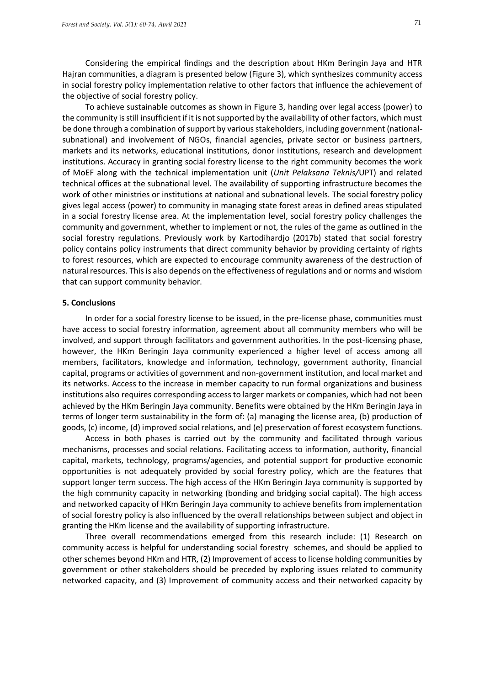Considering the empirical findings and the description about HKm Beringin Jaya and HTR Hajran communities, a diagram is presented below (Figure 3), which synthesizes community access in social forestry policy implementation relative to other factors that influence the achievement of the objective of social forestry policy.

To achieve sustainable outcomes as shown in Figure 3, handing over legal access (power) to the community is still insufficient if it is not supported by the availability of other factors, which must be done through a combination of support by various stakeholders, including government (nationalsubnational) and involvement of NGOs, financial agencies, private sector or business partners, markets and its networks, educational institutions, donor institutions, research and development institutions. Accuracy in granting social forestry license to the right community becomes the work of MoEF along with the technical implementation unit (*Unit Pelaksana Teknis/*UPT) and related technical offices at the subnational level. The availability of supporting infrastructure becomes the work of other ministries or institutions at national and subnational levels. The social forestry policy gives legal access (power) to community in managing state forest areas in defined areas stipulated in a social forestry license area. At the implementation level, social forestry policy challenges the community and government, whether to implement or not, the rules of the game as outlined in the social forestry regulations. Previously work by Kartodihardjo (2017b) stated that social forestry policy contains policy instruments that direct community behavior by providing certainty of rights to forest resources, which are expected to encourage community awareness of the destruction of natural resources. This is also depends on the effectiveness of regulations and or norms and wisdom that can support community behavior.

### **5. Conclusions**

In order for a social forestry license to be issued, in the pre-license phase, communities must have access to social forestry information, agreement about all community members who will be involved, and support through facilitators and government authorities. In the post-licensing phase, however, the HKm Beringin Jaya community experienced a higher level of access among all members, facilitators, knowledge and information, technology, government authority, financial capital, programs or activities of government and non-government institution, and local market and its networks. Access to the increase in member capacity to run formal organizations and business institutions also requires corresponding access to larger markets or companies, which had not been achieved by the HKm Beringin Jaya community. Benefits were obtained by the HKm Beringin Jaya in terms of longer term sustainability in the form of: (a) managing the license area, (b) production of goods, (c) income, (d) improved social relations, and (e) preservation of forest ecosystem functions.

Access in both phases is carried out by the community and facilitated through various mechanisms, processes and social relations. Facilitating access to information, authority, financial capital, markets, technology, programs/agencies, and potential support for productive economic opportunities is not adequately provided by social forestry policy, which are the features that support longer term success. The high access of the HKm Beringin Jaya community is supported by the high community capacity in networking (bonding and bridging social capital). The high access and networked capacity of HKm Beringin Jaya community to achieve benefits from implementation of social forestry policy is also influenced by the overall relationships between subject and object in granting the HKm license and the availability of supporting infrastructure.

Three overall recommendations emerged from this research include: (1) Research on community access is helpful for understanding social forestry schemes, and should be applied to other schemes beyond HKm and HTR, (2) Improvement of access to license holding communities by government or other stakeholders should be preceded by exploring issues related to community networked capacity, and (3) Improvement of community access and their networked capacity by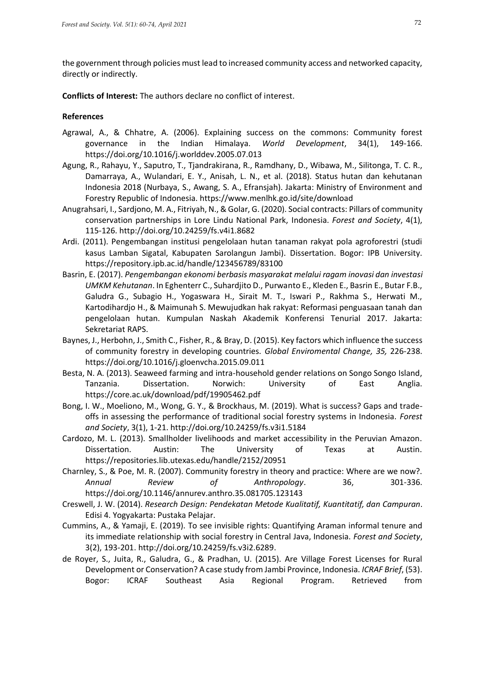the government through policies must lead to increased community access and networked capacity, directly or indirectly.

**Conflicts of Interest:** The authors declare no conflict of interest.

# **References**

- Agrawal, A., & Chhatre, A. (2006). Explaining success on the commons: Community forest governance in the Indian Himalaya. *World Development*, 34(1), 149-166. <https://doi.org/10.1016/j.worlddev.2005.07.013>
- Agung, R., Rahayu, Y., Saputro, T., Tjandrakirana, R., Ramdhany, D., Wibawa, M., Silitonga, T. C. R., Damarraya, A., Wulandari, E. Y., Anisah, L. N., et al. (2018). Status hutan dan kehutanan Indonesia 2018 (Nurbaya, S., Awang, S. A., Efransjah). Jakarta: Ministry of Environment and Forestry Republic of Indonesia.<https://www.menlhk.go.id/site/download>
- Anugrahsari, I., Sardjono, M. A., Fitriyah, N., & Golar, G. (2020). Social contracts: Pillars of community conservation partnerships in Lore Lindu National Park, Indonesia. *Forest and Society*, 4(1), 115-126. <http://doi.org/10.24259/fs.v4i1.8682>
- Ardi. (2011). Pengembangan institusi pengelolaan hutan tanaman rakyat pola agroforestri (studi kasus Lamban Sigatal, Kabupaten Sarolangun Jambi). Dissertation. Bogor: IPB University. <https://repository.ipb.ac.id/handle/123456789/83100>
- Basrin, E. (2017). *Pengembangan ekonomi berbasis masyarakat melalui ragam inovasi dan investasi UMKM Kehutanan*. In Eghenterr C., Suhardjito D., Purwanto E., Kleden E., Basrin E., Butar F.B., Galudra G., Subagio H., Yogaswara H., Sirait M. T., Iswari P., Rakhma S., Herwati M., Kartodihardjo H., & Maimunah S. Mewujudkan hak rakyat: Reformasi penguasaan tanah dan pengelolaan hutan. Kumpulan Naskah Akademik Konferensi Tenurial 2017. Jakarta: Sekretariat RAPS.
- Baynes, J., Herbohn, J., Smith C., Fisher, R., & Bray, D. (2015). Key factors which influence the success of community forestry in developing countries. *Global Enviromental Change, 35,* 226-238. <https://doi.org/10.1016/j.gloenvcha.2015.09.011>
- Besta, N. A. (2013). Seaweed farming and intra-household gender relations on Songo Songo Island, Tanzania. Dissertation. Norwich: University of East Anglia. <https://core.ac.uk/download/pdf/19905462.pdf>
- Bong, I. W., Moeliono, M., Wong, G. Y., & Brockhaus, M. (2019). What is success? Gaps and tradeoffs in assessing the performance of traditional social forestry systems in Indonesia. *Forest and Society*, 3(1), 1-21. <http://doi.org/10.24259/fs.v3i1.5184>
- Cardozo, M. L. (2013). Smallholder livelihoods and market accessibility in the Peruvian Amazon. Dissertation. Austin: The University of Texas at Austin. <https://repositories.lib.utexas.edu/handle/2152/20951>
- Charnley, S., & Poe, M. R. (2007). Community forestry in theory and practice: Where are we now?. *Annual Review of Anthropology*. 36, 301-336. <https://doi.org/10.1146/annurev.anthro.35.081705.123143>
- Creswell, J. W. (2014). *Research Design: Pendekatan Metode Kualitatif, Kuantitatif, dan Campuran*. Edisi 4. Yogyakarta: Pustaka Pelajar.
- Cummins, A., & Yamaji, E. (2019). To see invisible rights: Quantifying Araman informal tenure and its immediate relationship with social forestry in Central Java, Indonesia. *Forest and Society*, 3(2), 193-201. [http://doi.org/10.24259/fs.v3i2.6289.](http://doi.org/10.24259/fs.v3i2.6289)
- de Royer, S., Juita, R., Galudra, G., & Pradhan, U. (2015). Are Village Forest Licenses for Rural Development or Conservation? A case study from Jambi Province, Indonesia. *ICRAF Brief*, (53). Bogor: ICRAF Southeast Asia Regional Program. Retrieved from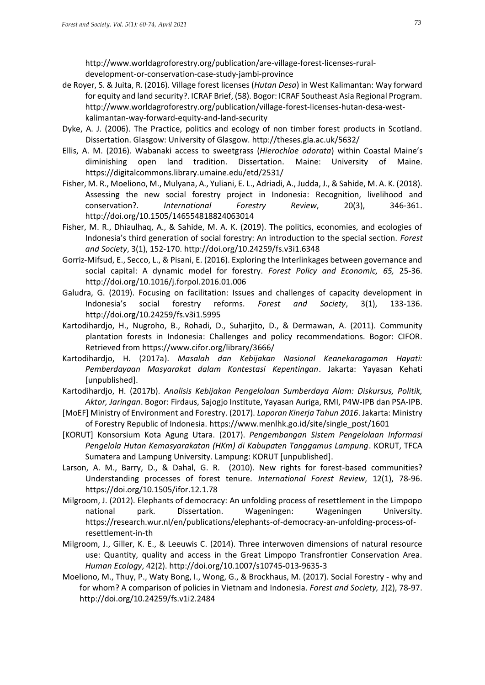[http://www.worldagroforestry.org/publication/are-village-forest-licenses-rural](http://www.worldagroforestry.org/publication/are-village-forest-licenses-rural-development-or-conservation-case-study-jambi-province)[development-or-conservation-case-study-jambi-province](http://www.worldagroforestry.org/publication/are-village-forest-licenses-rural-development-or-conservation-case-study-jambi-province)

- de Royer, S. & Juita, R. (2016). Village forest licenses (*Hutan Desa*) in West Kalimantan: Way forward for equity and land security?. ICRAF Brief, (58). Bogor: ICRAF Southeast Asia Regional Program. [http://www.worldagroforestry.org/publication/village-forest-licenses-hutan-desa-west](http://www.worldagroforestry.org/publication/village-forest-licenses-hutan-desa-west-kalimantan-way-forward-equity-and-land-security)[kalimantan-way-forward-equity-and-land-security](http://www.worldagroforestry.org/publication/village-forest-licenses-hutan-desa-west-kalimantan-way-forward-equity-and-land-security)
- Dyke, A. J. (2006). The Practice, politics and ecology of non timber forest products in Scotland. Dissertation. Glasgow: University of Glasgow.<http://theses.gla.ac.uk/5632/>
- Ellis, A. M. (2016). Wabanaki access to sweetgrass (*Hierochloe odorata*) within Coastal Maine's diminishing open land tradition. Dissertation. Maine: University of Maine. <https://digitalcommons.library.umaine.edu/etd/2531/>
- Fisher, M. R., Moeliono, M., Mulyana, A., Yuliani, E. L., Adriadi, A., Judda, J., & Sahide, M. A. K. (2018). Assessing the new social forestry project in Indonesia: Recognition, livelihood and conservation?. *International Forestry Review*, 20(3), 346-361. <http://doi.org/10.1505/146554818824063014>
- Fisher, M. R., Dhiaulhaq, A., & Sahide, M. A. K. (2019). The politics, economies, and ecologies of Indonesia's third generation of social forestry: An introduction to the special section. *Forest and Society*, 3(1), 152-170. <http://doi.org/10.24259/fs.v3i1.6348>
- Gorriz-Mifsud, E., Secco, L., & Pisani, E. (2016). Exploring the Interlinkages between governance and social capital: A dynamic model for forestry. *Forest Policy and Economic, 65,* 25-36. <http://doi.org/10.1016/j.forpol.2016.01.006>
- Galudra, G. (2019). Focusing on facilitation: Issues and challenges of capacity development in Indonesia's social forestry reforms. *Forest and Society*, 3(1), 133-136. <http://doi.org/10.24259/fs.v3i1.5995>
- Kartodihardjo, H., Nugroho, B., Rohadi, D., Suharjito, D., & Dermawan, A. (2011). Community plantation forests in Indonesia: Challenges and policy recommendations. Bogor: CIFOR. Retrieved from https://www.cifor.org/library/3666/
- Kartodihardjo, H. (2017a). *Masalah dan Kebijakan Nasional Keanekaragaman Hayati: Pemberdayaan Masyarakat dalam Kontestasi Kepentingan*. Jakarta: Yayasan Kehati [unpublished].
- Kartodihardjo, H. (2017b). *Analisis Kebijakan Pengelolaan Sumberdaya Alam: Diskursus, Politik, Aktor, Jaringan*. Bogor: Firdaus, Sajogjo Institute, Yayasan Auriga, RMI, P4W-IPB dan PSA-IPB.
- [MoEF] Ministry of Environment and Forestry. (2017). *Laporan Kinerja Tahun 2016*. Jakarta: Ministry of Forestry Republic of Indonesia. [https://www.menlhk.go.id/site/single\\_post/1601](https://www.menlhk.go.id/site/single_post/1601)
- [KORUT] Konsorsium Kota Agung Utara. (2017). *Pengembangan Sistem Pengelolaan Informasi Pengelola Hutan Kemasyarakatan (HKm) di Kabupaten Tanggamus Lampung*. KORUT, TFCA Sumatera and Lampung University. Lampung: KORUT [unpublished].
- Larson, A. M., Barry, D., & Dahal, G. R. (2010). New rights for forest-based communities? Understanding processes of forest tenure. *International Forest Review*, 12(1), 78-96. <https://doi.org/10.1505/ifor.12.1.78>
- Milgroom, J. (2012). Elephants of democracy: An unfolding process of resettlement in the Limpopo national park. Dissertation. Wageningen: Wageningen University. [https://research.wur.nl/en/publications/elephants-of-democracy-an-unfolding-process-of](https://research.wur.nl/en/publications/elephants-of-democracy-an-unfolding-process-of-resettlement-in-th)[resettlement-in-th](https://research.wur.nl/en/publications/elephants-of-democracy-an-unfolding-process-of-resettlement-in-th)
- Milgroom, J., Giller, K. E., & Leeuwis C. (2014). Three interwoven dimensions of natural resource use: Quantity, quality and access in the Great Limpopo Transfrontier Conservation Area. *Human Ecology*, 42(2).<http://doi.org/10.1007/s10745-013-9635-3>
- Moeliono, M., Thuy, P., Waty Bong, I., Wong, G., & Brockhaus, M. (2017). Social Forestry why and for whom? A comparison of policies in Vietnam and Indonesia. *Forest and Society, 1*(2), 78-97. [http://doi.org/10.24259/fs.v1i2.2484](http://dx.doi.org/10.24259/fs.v1i2.2484)